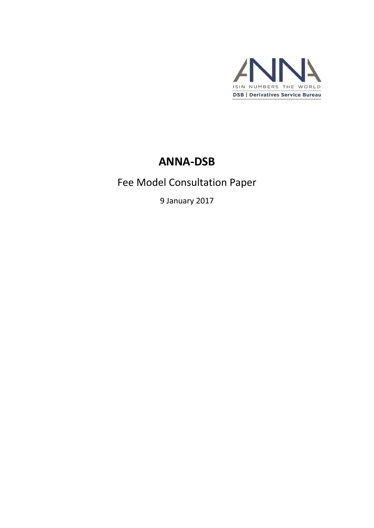

# **ANNA-DSB**

# Fee Model Consultation Paper

9 January 2017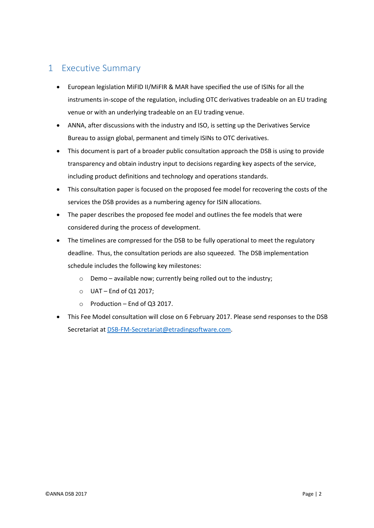## <span id="page-1-0"></span>1 Executive Summary

- European legislation MiFID II/MiFIR & MAR have specified the use of ISINs for all the instruments in-scope of the regulation, including OTC derivatives tradeable on an EU trading venue or with an underlying tradeable on an EU trading venue.
- ANNA, after discussions with the industry and ISO, is setting up the Derivatives Service Bureau to assign global, permanent and timely ISINs to OTC derivatives.
- This document is part of a broader public consultation approach the DSB is using to provide transparency and obtain industry input to decisions regarding key aspects of the service, including product definitions and technology and operations standards.
- This consultation paper is focused on the proposed fee model for recovering the costs of the services the DSB provides as a numbering agency for ISIN allocations.
- The paper describes the proposed fee model and outlines the fee models that were considered during the process of development.
- The timelines are compressed for the DSB to be fully operational to meet the regulatory deadline. Thus, the consultation periods are also squeezed. The DSB implementation schedule includes the following key milestones:
	- o Demo available now; currently being rolled out to the industry;
	- $O$  UAT End of Q1 2017;
	- $\circ$  Production End of Q3 2017.
- This Fee Model consultation will close on 6 February 2017. Please send responses to the DSB Secretariat a[t DSB-FM-Secretariat@etradingsoftware.com.](mailto:DSB-FM-Secretariat@etradingsoftware.com)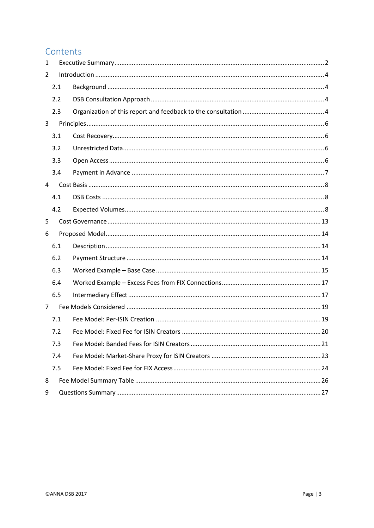## Contents

| 1              |     |  |
|----------------|-----|--|
| 2              |     |  |
|                | 2.1 |  |
|                | 2.2 |  |
|                | 2.3 |  |
| 3              |     |  |
|                | 3.1 |  |
|                | 3.2 |  |
|                | 3.3 |  |
|                | 3.4 |  |
| 4              |     |  |
|                | 4.1 |  |
|                | 4.2 |  |
| 5              |     |  |
|                |     |  |
| 6              |     |  |
|                | 6.1 |  |
|                | 6.2 |  |
|                | 6.3 |  |
|                | 6.4 |  |
|                | 6.5 |  |
| $\overline{7}$ |     |  |
|                | 7.1 |  |
|                | 7.2 |  |
|                | 7.3 |  |
|                | 7.4 |  |
|                | 7.5 |  |
| 8              |     |  |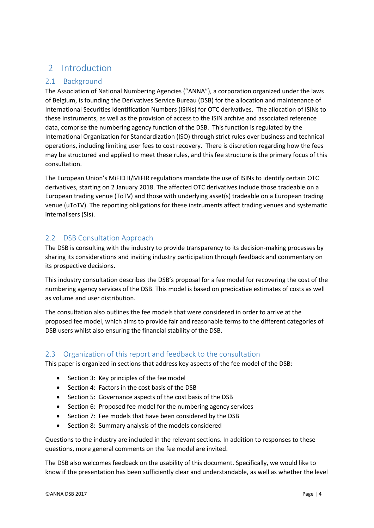## <span id="page-3-0"></span>2 Introduction

## <span id="page-3-1"></span>2.1 Background

The Association of National Numbering Agencies ("ANNA"), a corporation organized under the laws of Belgium, is founding the Derivatives Service Bureau (DSB) for the allocation and maintenance of International Securities Identification Numbers (ISINs) for OTC derivatives. The allocation of ISINs to these instruments, as well as the provision of access to the ISIN archive and associated reference data, comprise the numbering agency function of the DSB. This function is regulated by the International Organization for Standardization (ISO) through strict rules over business and technical operations, including limiting user fees to cost recovery. There is discretion regarding how the fees may be structured and applied to meet these rules, and this fee structure is the primary focus of this consultation.

The European Union's MiFID II/MiFIR regulations mandate the use of ISINs to identify certain OTC derivatives, starting on 2 January 2018. The affected OTC derivatives include those tradeable on a European trading venue (ToTV) and those with underlying asset(s) tradeable on a European trading venue (uToTV). The reporting obligations for these instruments affect trading venues and systematic internalisers (SIs).

## <span id="page-3-2"></span>2.2 DSB Consultation Approach

The DSB is consulting with the industry to provide transparency to its decision-making processes by sharing its considerations and inviting industry participation through feedback and commentary on its prospective decisions.

This industry consultation describes the DSB's proposal for a fee model for recovering the cost of the numbering agency services of the DSB. This model is based on predicative estimates of costs as well as volume and user distribution.

The consultation also outlines the fee models that were considered in order to arrive at the proposed fee model, which aims to provide fair and reasonable terms to the different categories of DSB users whilst also ensuring the financial stability of the DSB.

## <span id="page-3-3"></span>2.3 Organization of this report and feedback to the consultation

This paper is organized in sections that address key aspects of the fee model of the DSB:

- Section 3: Key principles of the fee model
- Section 4: Factors in the cost basis of the DSB
- Section 5: Governance aspects of the cost basis of the DSB
- Section 6: Proposed fee model for the numbering agency services
- Section 7: Fee models that have been considered by the DSB
- Section 8: Summary analysis of the models considered

Questions to the industry are included in the relevant sections. In addition to responses to these questions, more general comments on the fee model are invited.

The DSB also welcomes feedback on the usability of this document. Specifically, we would like to know if the presentation has been sufficiently clear and understandable, as well as whether the level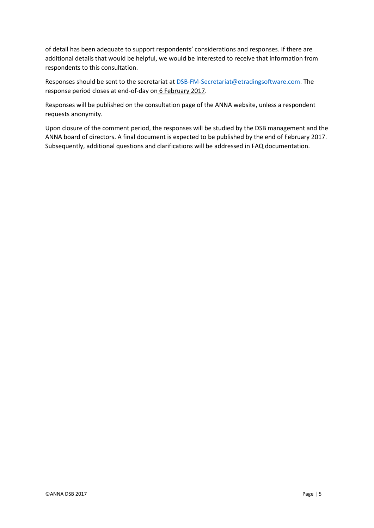of detail has been adequate to support respondents' considerations and responses. If there are additional details that would be helpful, we would be interested to receive that information from respondents to this consultation.

Responses should be sent to the secretariat at [DSB-FM-Secretariat@etradingsoftware.com.](mailto:DSB-FM-Secretariat@etradingsoftware.com) The response period closes at end-of-day on 6 February 2017.

Responses will be published on the consultation page of the ANNA website, unless a respondent requests anonymity.

Upon closure of the comment period, the responses will be studied by the DSB management and the ANNA board of directors. A final document is expected to be published by the end of February 2017. Subsequently, additional questions and clarifications will be addressed in FAQ documentation.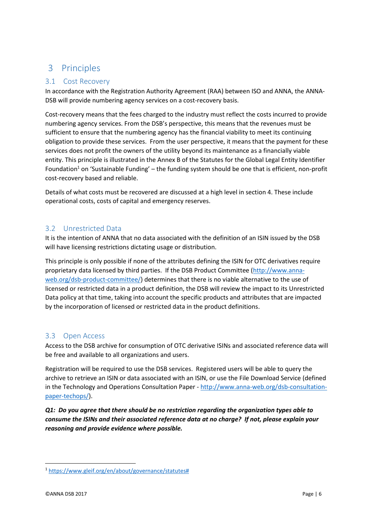## <span id="page-5-0"></span>3 Principles

### <span id="page-5-1"></span>3.1 Cost Recovery

In accordance with the Registration Authority Agreement (RAA) between ISO and ANNA, the ANNA-DSB will provide numbering agency services on a cost-recovery basis.

Cost-recovery means that the fees charged to the industry must reflect the costs incurred to provide numbering agency services. From the DSB's perspective, this means that the revenues must be sufficient to ensure that the numbering agency has the financial viability to meet its continuing obligation to provide these services. From the user perspective, it means that the payment for these services does not profit the owners of the utility beyond its maintenance as a financially viable entity. This principle is illustrated in the Annex B of the Statutes for the Global Legal Entity Identifier Foundation<sup>1</sup> on 'Sustainable Funding' – the funding system should be one that is efficient, non-profit cost-recovery based and reliable.

Details of what costs must be recovered are discussed at a high level in section 4. These include operational costs, costs of capital and emergency reserves.

## <span id="page-5-2"></span>3.2 Unrestricted Data

It is the intention of ANNA that no data associated with the definition of an ISIN issued by the DSB will have licensing restrictions dictating usage or distribution.

This principle is only possible if none of the attributes defining the ISIN for OTC derivatives require proprietary data licensed by third parties. If the DSB Product Committee [\(http://www.anna](http://www.anna-web.org/dsb-product-committee/)[web.org/dsb-product-committee/\)](http://www.anna-web.org/dsb-product-committee/) determines that there is no viable alternative to the use of licensed or restricted data in a product definition, the DSB will review the impact to its Unrestricted Data policy at that time, taking into account the specific products and attributes that are impacted by the incorporation of licensed or restricted data in the product definitions.

## <span id="page-5-3"></span>3.3 Open Access

Access to the DSB archive for consumption of OTC derivative ISINs and associated reference data will be free and available to all organizations and users.

Registration will be required to use the DSB services. Registered users will be able to query the archive to retrieve an ISIN or data associated with an ISIN, or use the File Download Service (defined in the Technology and Operations Consultation Paper - [http://www.anna-web.org/dsb-consultation](http://www.anna-web.org/dsb-consultation-paper-techops/)[paper-techops/\)](http://www.anna-web.org/dsb-consultation-paper-techops/).

*Q1: Do you agree that there should be no restriction regarding the organization types able to consume the ISINs and their associated reference data at no charge? If not, please explain your reasoning and provide evidence where possible.*

**.** 

<sup>1</sup> [https://www.gleif.org/en/about/governance/statutes#](https://www.gleif.org/en/about/governance/statutes)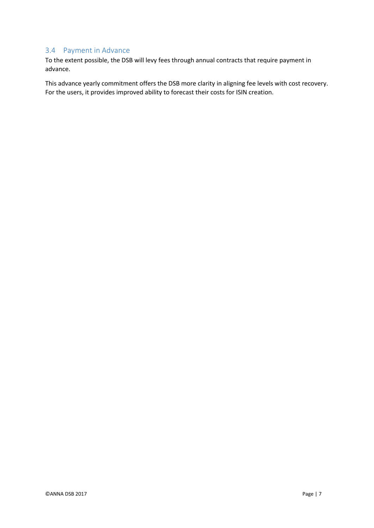## <span id="page-6-0"></span>3.4 Payment in Advance

To the extent possible, the DSB will levy fees through annual contracts that require payment in advance.

This advance yearly commitment offers the DSB more clarity in aligning fee levels with cost recovery. For the users, it provides improved ability to forecast their costs for ISIN creation.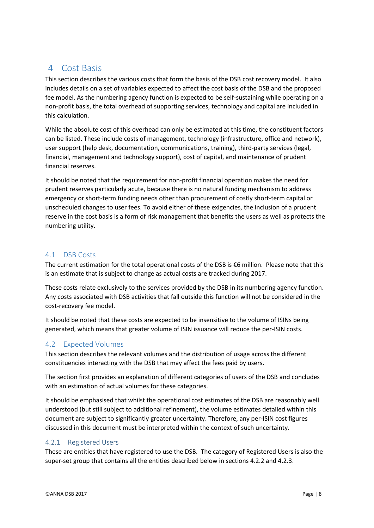## <span id="page-7-0"></span>4 Cost Basis

This section describes the various costs that form the basis of the DSB cost recovery model. It also includes details on a set of variables expected to affect the cost basis of the DSB and the proposed fee model. As the numbering agency function is expected to be self-sustaining while operating on a non-profit basis, the total overhead of supporting services, technology and capital are included in this calculation.

While the absolute cost of this overhead can only be estimated at this time, the constituent factors can be listed. These include costs of management, technology (infrastructure, office and network), user support (help desk, documentation, communications, training), third-party services (legal, financial, management and technology support), cost of capital, and maintenance of prudent financial reserves.

It should be noted that the requirement for non-profit financial operation makes the need for prudent reserves particularly acute, because there is no natural funding mechanism to address emergency or short-term funding needs other than procurement of costly short-term capital or unscheduled changes to user fees. To avoid either of these exigencies, the inclusion of a prudent reserve in the cost basis is a form of risk management that benefits the users as well as protects the numbering utility.

## <span id="page-7-1"></span>4.1 DSB Costs

The current estimation for the total operational costs of the DSB is €6 million. Please note that this is an estimate that is subject to change as actual costs are tracked during 2017.

These costs relate exclusively to the services provided by the DSB in its numbering agency function. Any costs associated with DSB activities that fall outside this function will not be considered in the cost-recovery fee model.

It should be noted that these costs are expected to be insensitive to the volume of ISINs being generated, which means that greater volume of ISIN issuance will reduce the per-ISIN costs.

## <span id="page-7-2"></span>4.2 Expected Volumes

This section describes the relevant volumes and the distribution of usage across the different constituencies interacting with the DSB that may affect the fees paid by users.

The section first provides an explanation of different categories of users of the DSB and concludes with an estimation of actual volumes for these categories.

It should be emphasised that whilst the operational cost estimates of the DSB are reasonably well understood (but still subject to additional refinement), the volume estimates detailed within this document are subject to significantly greater uncertainty. Therefore, any per-ISIN cost figures discussed in this document must be interpreted within the context of such uncertainty.

### 4.2.1 Registered Users

These are entities that have registered to use the DSB. The category of Registered Users is also the super-set group that contains all the entities described below in sections 4.2.2 and 4.2.3.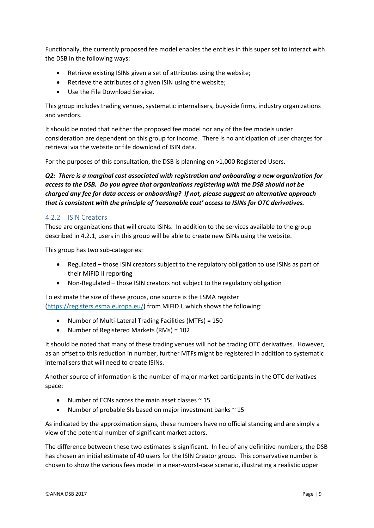Functionally, the currently proposed fee model enables the entities in this super set to interact with the DSB in the following ways:

- Retrieve existing ISINs given a set of attributes using the website;
- Retrieve the attributes of a given ISIN using the website;
- Use the File Download Service.

This group includes trading venues, systematic internalisers, buy-side firms, industry organizations and vendors.

It should be noted that neither the proposed fee model nor any of the fee models under consideration are dependent on this group for income. There is no anticipation of user charges for retrieval via the website or file download of ISIN data.

For the purposes of this consultation, the DSB is planning on >1,000 Registered Users.

*Q2: There is a marginal cost associated with registration and onboarding a new organization for access to the DSB. Do you agree that organizations registering with the DSB should not be charged any fee for data access or onboarding? If not, please suggest an alternative approach that is consistent with the principle of 'reasonable cost' access to ISINs for OTC derivatives.*

#### 4.2.2 ISIN Creators

These are organizations that will create ISINs. In addition to the services available to the group described in 4.2.1, users in this group will be able to create new ISINs using the website.

This group has two sub-categories:

- Regulated those ISIN creators subject to the regulatory obligation to use ISINs as part of their MiFID II reporting
- Non-Regulated those ISIN creators not subject to the regulatory obligation

To estimate the size of these groups, one source is the ESMA register [\(https://registers.esma.europa.eu/\)](https://registers.esma.europa.eu/) from MiFID I, which shows the following:

- Number of Multi-Lateral Trading Facilities (MTFs) = 150
- Number of Registered Markets (RMs) = 102

It should be noted that many of these trading venues will not be trading OTC derivatives. However, as an offset to this reduction in number, further MTFs might be registered in addition to systematic internalisers that will need to create ISINs.

Another source of information is the number of major market participants in the OTC derivatives space:

- Number of ECNs across the main asset classes  $\sim$  15
- Number of probable SIs based on major investment banks  $\sim$  15

As indicated by the approximation signs, these numbers have no official standing and are simply a view of the potential number of significant market actors.

The difference between these two estimates is significant. In lieu of any definitive numbers, the DSB has chosen an initial estimate of 40 users for the ISIN Creator group. This conservative number is chosen to show the various fees model in a near-worst-case scenario, illustrating a realistic upper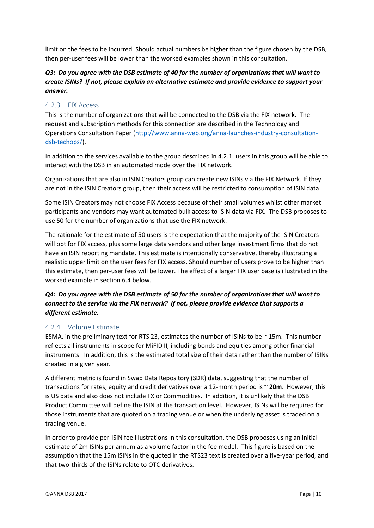limit on the fees to be incurred. Should actual numbers be higher than the figure chosen by the DSB, then per-user fees will be lower than the worked examples shown in this consultation.

#### *Q3: Do you agree with the DSB estimate of 40 for the number of organizations that will want to create ISINs? If not, please explain an alternative estimate and provide evidence to support your answer.*

#### 4.2.3 FIX Access

This is the number of organizations that will be connected to the DSB via the FIX network. The request and subscription methods for this connection are described in the Technology and Operations Consultation Paper [\(http://www.anna-web.org/anna-launches-industry-consultation](http://www.anna-web.org/anna-launches-industry-consultation-dsb-techops/)[dsb-techops/\)](http://www.anna-web.org/anna-launches-industry-consultation-dsb-techops/).

In addition to the services available to the group described in 4.2.1, users in this group will be able to interact with the DSB in an automated mode over the FIX network.

Organizations that are also in ISIN Creators group can create new ISINs via the FIX Network. If they are not in the ISIN Creators group, then their access will be restricted to consumption of ISIN data.

Some ISIN Creators may not choose FIX Access because of their small volumes whilst other market participants and vendors may want automated bulk access to ISIN data via FIX. The DSB proposes to use 50 for the number of organizations that use the FIX network.

The rationale for the estimate of 50 users is the expectation that the majority of the ISIN Creators will opt for FIX access, plus some large data vendors and other large investment firms that do not have an ISIN reporting mandate. This estimate is intentionally conservative, thereby illustrating a realistic upper limit on the user fees for FIX access. Should number of users prove to be higher than this estimate, then per-user fees will be lower. The effect of a larger FIX user base is illustrated in the worked example in section 6.4 below.

#### *Q4: Do you agree with the DSB estimate of 50 for the number of organizations that will want to connect to the service via the FIX network? If not, please provide evidence that supports a different estimate.*

#### 4.2.4 Volume Estimate

ESMA, in the preliminary text for RTS 23, estimates the number of ISINs to be ~ 15m. This number reflects all instruments in scope for MiFID II, including bonds and equities among other financial instruments. In addition, this is the estimated total size of their data rather than the number of ISINs created in a given year.

A different metric is found in Swap Data Repository (SDR) data, suggesting that the number of transactions for rates, equity and credit derivatives over a 12-month period is ~ **20m**. However, this is US data and also does not include FX or Commodities. In addition, it is unlikely that the DSB Product Committee will define the ISIN at the transaction level. However, ISINs will be required for those instruments that are quoted on a trading venue or when the underlying asset is traded on a trading venue.

In order to provide per-ISIN fee illustrations in this consultation, the DSB proposes using an initial estimate of 2m ISINs per annum as a volume factor in the fee model. This figure is based on the assumption that the 15m ISINs in the quoted in the RTS23 text is created over a five-year period, and that two-thirds of the ISINs relate to OTC derivatives.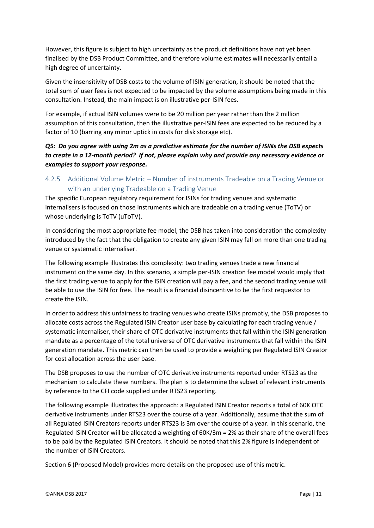However, this figure is subject to high uncertainty as the product definitions have not yet been finalised by the DSB Product Committee, and therefore volume estimates will necessarily entail a high degree of uncertainty.

Given the insensitivity of DSB costs to the volume of ISIN generation, it should be noted that the total sum of user fees is not expected to be impacted by the volume assumptions being made in this consultation. Instead, the main impact is on illustrative per-ISIN fees.

For example, if actual ISIN volumes were to be 20 million per year rather than the 2 million assumption of this consultation, then the illustrative per-ISIN fees are expected to be reduced by a factor of 10 (barring any minor uptick in costs for disk storage etc).

#### *Q5: Do you agree with using 2m as a predictive estimate for the number of ISINs the DSB expects to create in a 12-month period? If not, please explain why and provide any necessary evidence or examples to support your response.*

## 4.2.5 Additional Volume Metric – Number of instruments Tradeable on a Trading Venue or with an underlying Tradeable on a Trading Venue

The specific European regulatory requirement for ISINs for trading venues and systematic internalisers is focused on those instruments which are tradeable on a trading venue (ToTV) or whose underlying is ToTV (uToTV).

In considering the most appropriate fee model, the DSB has taken into consideration the complexity introduced by the fact that the obligation to create any given ISIN may fall on more than one trading venue or systematic internaliser.

The following example illustrates this complexity: two trading venues trade a new financial instrument on the same day. In this scenario, a simple per-ISIN creation fee model would imply that the first trading venue to apply for the ISIN creation will pay a fee, and the second trading venue will be able to use the ISIN for free. The result is a financial disincentive to be the first requestor to create the ISIN.

In order to address this unfairness to trading venues who create ISINs promptly, the DSB proposes to allocate costs across the Regulated ISIN Creator user base by calculating for each trading venue / systematic internaliser, their share of OTC derivative instruments that fall within the ISIN generation mandate as a percentage of the total universe of OTC derivative instruments that fall within the ISIN generation mandate. This metric can then be used to provide a weighting per Regulated ISIN Creator for cost allocation across the user base.

The DSB proposes to use the number of OTC derivative instruments reported under RTS23 as the mechanism to calculate these numbers. The plan is to determine the subset of relevant instruments by reference to the CFI code supplied under RTS23 reporting.

The following example illustrates the approach: a Regulated ISIN Creator reports a total of 60K OTC derivative instruments under RTS23 over the course of a year. Additionally, assume that the sum of all Regulated ISIN Creators reports under RTS23 is 3m over the course of a year. In this scenario, the Regulated ISIN Creator will be allocated a weighting of 60K/3m = 2% as their share of the overall fees to be paid by the Regulated ISIN Creators. It should be noted that this 2% figure is independent of the number of ISIN Creators.

Section 6 (Proposed Model) provides more details on the proposed use of this metric.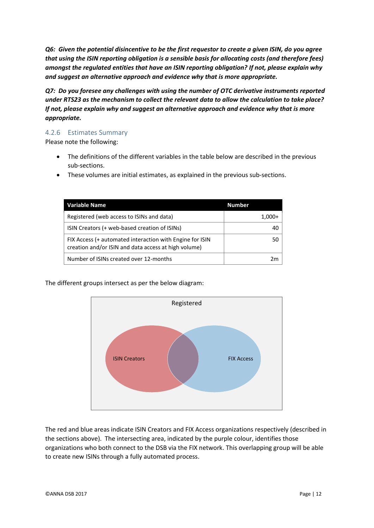*Q6: Given the potential disincentive to be the first requestor to create a given ISIN, do you agree that using the ISIN reporting obligation is a sensible basis for allocating costs (and therefore fees) amongst the regulated entities that have an ISIN reporting obligation? If not, please explain why and suggest an alternative approach and evidence why that is more appropriate.*

*Q7: Do you foresee any challenges with using the number of OTC derivative instruments reported under RTS23 as the mechanism to collect the relevant data to allow the calculation to take place? If not, please explain why and suggest an alternative approach and evidence why that is more appropriate.*

#### 4.2.6 Estimates Summary

Please note the following:

- The definitions of the different variables in the table below are described in the previous sub-sections.
- These volumes are initial estimates, as explained in the previous sub-sections.

| <b>Variable Name</b>                                                                                             | <b>Number</b> |
|------------------------------------------------------------------------------------------------------------------|---------------|
| Registered (web access to ISINs and data)                                                                        | $1,000+$      |
| ISIN Creators (+ web-based creation of ISINs)                                                                    | 40            |
| FIX Access (+ automated interaction with Engine for ISIN<br>creation and/or ISIN and data access at high volume) | 50            |
| Number of ISINs created over 12-months                                                                           | 2m            |

The different groups intersect as per the below diagram:



The red and blue areas indicate ISIN Creators and FIX Access organizations respectively (described in the sections above). The intersecting area, indicated by the purple colour, identifies those organizations who both connect to the DSB via the FIX network. This overlapping group will be able to create new ISINs through a fully automated process.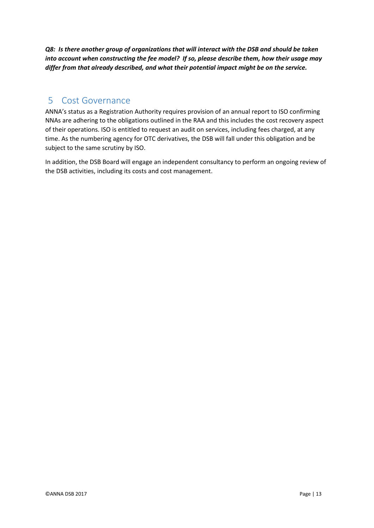*Q8: Is there another group of organizations that will interact with the DSB and should be taken into account when constructing the fee model? If so, please describe them, how their usage may differ from that already described, and what their potential impact might be on the service.*

## <span id="page-12-0"></span>5 Cost Governance

ANNA's status as a Registration Authority requires provision of an annual report to ISO confirming NNAs are adhering to the obligations outlined in the RAA and this includes the cost recovery aspect of their operations. ISO is entitled to request an audit on services, including fees charged, at any time. As the numbering agency for OTC derivatives, the DSB will fall under this obligation and be subject to the same scrutiny by ISO.

In addition, the DSB Board will engage an independent consultancy to perform an ongoing review of the DSB activities, including its costs and cost management.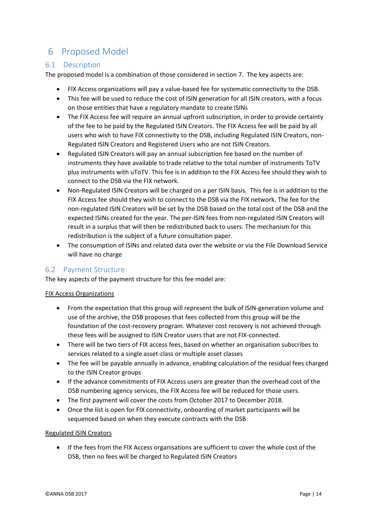## <span id="page-13-0"></span>6 Proposed Model

#### <span id="page-13-1"></span>6.1 Description

The proposed model is a combination of those considered in sectio[n 7.](#page-18-0) The key aspects are:

- FIX Access organizations will pay a value-based fee for systematic connectivity to the DSB.
- This fee will be used to reduce the cost of ISIN generation for all ISIN creators, with a focus on those entities that have a regulatory mandate to create ISINs
- The FIX Access fee will require an annual upfront subscription, in order to provide certainty of the fee to be paid by the Regulated ISIN Creators. The FIX Access fee will be paid by all users who wish to have FIX connectivity to the DSB, including Regulated ISIN Creators, non-Regulated ISIN Creators and Registered Users who are not ISIN Creators.
- Regulated ISIN Creators will pay an annual subscription fee based on the number of instruments they have available to trade relative to the total number of instruments ToTV plus instruments with uToTV. This fee is in addition to the FIX Access fee should they wish to connect to the DSB via the FIX network.
- Non-Regulated ISIN Creators will be charged on a per ISIN basis. This fee is in addition to the FIX Access fee should they wish to connect to the DSB via the FIX network. The fee for the non-regulated ISIN Creators will be set by the DSB based on the total cost of the DSB and the expected ISINs created for the year. The per-ISIN fees from non-regulated ISIN Creators will result in a surplus that will then be redistributed back to users. The mechanism for this redistribution is the subject of a future consultation paper.
- The consumption of ISINs and related data over the website or via the File Download Service will have no charge

### <span id="page-13-2"></span>6.2 Payment Structure

The key aspects of the payment structure for this fee model are:

#### FIX Access Organizations

- From the expectation that this group will represent the bulk of ISIN-generation volume and use of the archive, the DSB proposes that fees collected from this group will be the foundation of the cost-recovery program. Whatever cost recovery is not achieved through these fees will be assigned to ISIN Creator users that are not FIX-connected.
- There will be two tiers of FIX access fees, based on whether an organisation subscribes to services related to a single asset-class or multiple asset classes
- The fee will be payable annually in advance, enabling calculation of the residual fees charged to the ISIN Creator groups
- If the advance commitments of FIX Access users are greater than the overhead cost of the DSB numbering agency services, the FIX Access fee will be reduced for those users.
- The first payment will cover the costs from October 2017 to December 2018.
- Once the list is open for FIX connectivity, onboarding of market participants will be sequenced based on when they execute contracts with the DSB

#### Regulated ISIN Creators

 If the fees from the FIX Access organisations are sufficient to cover the whole cost of the DSB, then no fees will be charged to Regulated ISIN Creators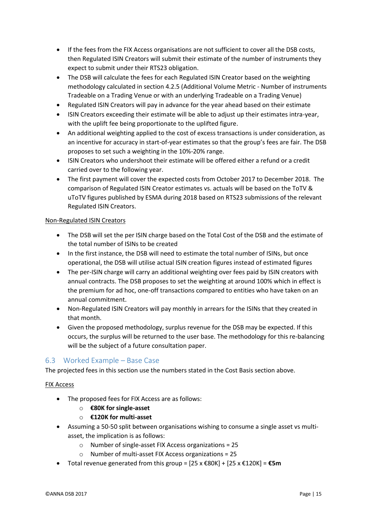- If the fees from the FIX Access organisations are not sufficient to cover all the DSB costs, then Regulated ISIN Creators will submit their estimate of the number of instruments they expect to submit under their RTS23 obligation.
- The DSB will calculate the fees for each Regulated ISIN Creator based on the weighting methodology calculated in section 4.2.5 (Additional Volume Metric - Number of instruments Tradeable on a Trading Venue or with an underlying Tradeable on a Trading Venue)
- Regulated ISIN Creators will pay in advance for the year ahead based on their estimate
- ISIN Creators exceeding their estimate will be able to adjust up their estimates intra-year, with the uplift fee being proportionate to the uplifted figure.
- An additional weighting applied to the cost of excess transactions is under consideration, as an incentive for accuracy in start-of-year estimates so that the group's fees are fair. The DSB proposes to set such a weighting in the 10%-20% range.
- ISIN Creators who undershoot their estimate will be offered either a refund or a credit carried over to the following year.
- The first payment will cover the expected costs from October 2017 to December 2018. The comparison of Regulated ISIN Creator estimates vs. actuals will be based on the ToTV & uToTV figures published by ESMA during 2018 based on RTS23 submissions of the relevant Regulated ISIN Creators.

#### Non-Regulated ISIN Creators

- The DSB will set the per ISIN charge based on the Total Cost of the DSB and the estimate of the total number of ISINs to be created
- In the first instance, the DSB will need to estimate the total number of ISINs, but once operational, the DSB will utilise actual ISIN creation figures instead of estimated figures
- The per-ISIN charge will carry an additional weighting over fees paid by ISIN creators with annual contracts. The DSB proposes to set the weighting at around 100% which in effect is the premium for ad hoc, one-off transactions compared to entities who have taken on an annual commitment.
- Non-Regulated ISIN Creators will pay monthly in arrears for the ISINs that they created in that month.
- Given the proposed methodology, surplus revenue for the DSB may be expected. If this occurs, the surplus will be returned to the user base. The methodology for this re-balancing will be the subject of a future consultation paper.

### <span id="page-14-0"></span>6.3 Worked Example – Base Case

The projected fees in this section use the numbers stated in the Cost Basis section above.

#### FIX Access

- The proposed fees for FIX Access are as follows:
	- o **€80K for single-asset**
	- o **€120K for multi-asset**
- Assuming a 50-50 split between organisations wishing to consume a single asset vs multiasset, the implication is as follows:
	- o Number of single-asset FIX Access organizations = 25
	- o Number of multi-asset FIX Access organizations = 25
- Total revenue generated from this group = [25 x €80K] + [25 x €120K] = **€5m**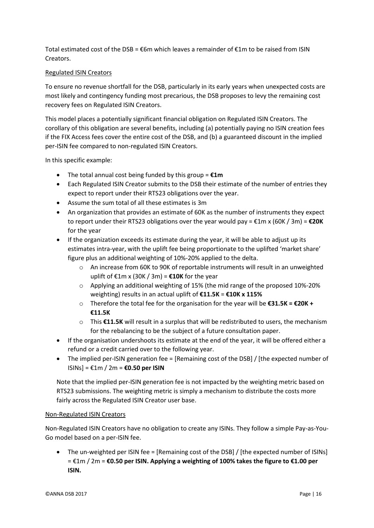Total estimated cost of the DSB = €6m which leaves a remainder of €1m to be raised from ISIN Creators.

#### Regulated ISIN Creators

To ensure no revenue shortfall for the DSB, particularly in its early years when unexpected costs are most likely and contingency funding most precarious, the DSB proposes to levy the remaining cost recovery fees on Regulated ISIN Creators.

This model places a potentially significant financial obligation on Regulated ISIN Creators. The corollary of this obligation are several benefits, including (a) potentially paying no ISIN creation fees if the FIX Access fees cover the entire cost of the DSB, and (b) a guaranteed discount in the implied per-ISIN fee compared to non-regulated ISIN Creators.

In this specific example:

- The total annual cost being funded by this group = **€1m**
- Each Regulated ISIN Creator submits to the DSB their estimate of the number of entries they expect to report under their RTS23 obligations over the year.
- Assume the sum total of all these estimates is 3m
- An organization that provides an estimate of 60K as the number of instruments they expect to report under their RTS23 obligations over the year would pay = €1m x (60K / 3m) = **€20K** for the year
- If the organization exceeds its estimate during the year, it will be able to adjust up its estimates intra-year, with the uplift fee being proportionate to the uplifted 'market share' figure plus an additional weighting of 10%-20% applied to the delta.
	- $\circ$  An increase from 60K to 90K of reportable instruments will result in an unweighted uplift of €1m x (30K / 3m) = **€10K** for the year
	- $\circ$  Applying an additional weighting of 15% (the mid range of the proposed 10%-20%) weighting) results in an actual uplift of **€11.5K** = **€10K x 115%**
	- o Therefore the total fee for the organisation for the year will be **€31.5K = €20K + €11.5K**
	- o This **€11.5K** will result in a surplus that will be redistributed to users, the mechanism for the rebalancing to be the subject of a future consultation paper.
- If the organisation undershoots its estimate at the end of the year, it will be offered either a refund or a credit carried over to the following year.
- The implied per-ISIN generation fee = [Remaining cost of the DSB] / [the expected number of ISINs] = €1m / 2m = **€0.50 per ISIN**

Note that the implied per-ISIN generation fee is not impacted by the weighting metric based on RTS23 submissions. The weighting metric is simply a mechanism to distribute the costs more fairly across the Regulated ISIN Creator user base.

#### Non-Regulated ISIN Creators

Non-Regulated ISIN Creators have no obligation to create any ISINs. They follow a simple Pay-as-You-Go model based on a per-ISIN fee.

 The un-weighted per ISIN fee = [Remaining cost of the DSB] / [the expected number of ISINs] = €1m / 2m = **€0.50 per ISIN. Applying a weighting of 100% takes the figure to €1.00 per ISIN.**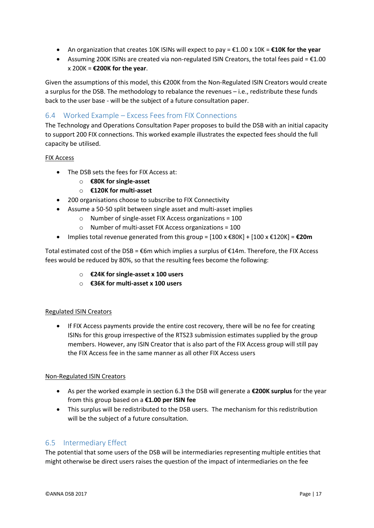- An organization that creates 10K ISINs will expect to pay = €1.00 x 10K = **€10K for the year**
- Assuming 200K ISINs are created via non-regulated ISIN Creators, the total fees paid =  $£1.00$ x 200K = **€200K for the year**.

Given the assumptions of this model, this €200K from the Non-Regulated ISIN Creators would create a surplus for the DSB. The methodology to rebalance the revenues – i.e., redistribute these funds back to the user base - will be the subject of a future consultation paper.

## <span id="page-16-0"></span>6.4 Worked Example – Excess Fees from FIX Connections

The Technology and Operations Consultation Paper proposes to build the DSB with an initial capacity to support 200 FIX connections. This worked example illustrates the expected fees should the full capacity be utilised.

#### FIX Access

- The DSB sets the fees for FIX Access at:
	- o **€80K for single-asset**
	- o **€120K for multi-asset**
- 200 organisations choose to subscribe to FIX Connectivity
- Assume a 50-50 split between single asset and multi-asset implies
	- o Number of single-asset FIX Access organizations = 100
	- o Number of multi-asset FIX Access organizations = 100
- Implies total revenue generated from this group = [100 x €80K] + [100 x €120K] = **€20m**

Total estimated cost of the DSB =  $€6m$  which implies a surplus of  $€14m$ . Therefore, the FIX Access fees would be reduced by 80%, so that the resulting fees become the following:

- o **€24K for single-asset x 100 users**
- o **€36K for multi-asset x 100 users**

#### Regulated ISIN Creators

• If FIX Access payments provide the entire cost recovery, there will be no fee for creating ISINs for this group irrespective of the RTS23 submission estimates supplied by the group members. However, any ISIN Creator that is also part of the FIX Access group will still pay the FIX Access fee in the same manner as all other FIX Access users

#### Non-Regulated ISIN Creators

- As per the worked example in section 6.3 the DSB will generate a **€200K surplus** for the year from this group based on a **€1.00 per ISIN fee**
- This surplus will be redistributed to the DSB users. The mechanism for this redistribution will be the subject of a future consultation.

#### <span id="page-16-1"></span>6.5 Intermediary Effect

The potential that some users of the DSB will be intermediaries representing multiple entities that might otherwise be direct users raises the question of the impact of intermediaries on the fee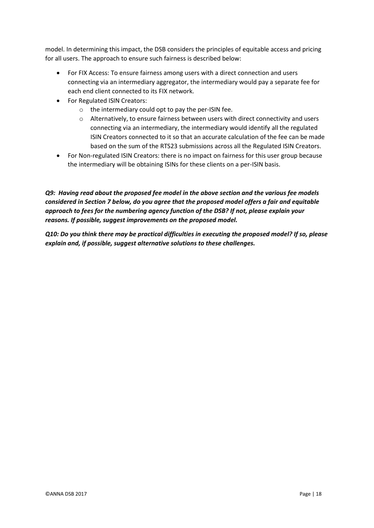model. In determining this impact, the DSB considers the principles of equitable access and pricing for all users. The approach to ensure such fairness is described below:

- For FIX Access: To ensure fairness among users with a direct connection and users connecting via an intermediary aggregator, the intermediary would pay a separate fee for each end client connected to its FIX network.
- For Regulated ISIN Creators:
	- o the intermediary could opt to pay the per-ISIN fee.
	- o Alternatively, to ensure fairness between users with direct connectivity and users connecting via an intermediary, the intermediary would identify all the regulated ISIN Creators connected to it so that an accurate calculation of the fee can be made based on the sum of the RTS23 submissions across all the Regulated ISIN Creators.
- For Non-regulated ISIN Creators: there is no impact on fairness for this user group because the intermediary will be obtaining ISINs for these clients on a per-ISIN basis.

*Q9: Having read about the proposed fee model in the above section and the various fee models considered in Section 7 below, do you agree that the proposed model offers a fair and equitable approach to fees for the numbering agency function of the DSB? If not, please explain your reasons. If possible, suggest improvements on the proposed model.* 

*Q10: Do you think there may be practical difficulties in executing the proposed model? If so, please explain and, if possible, suggest alternative solutions to these challenges.*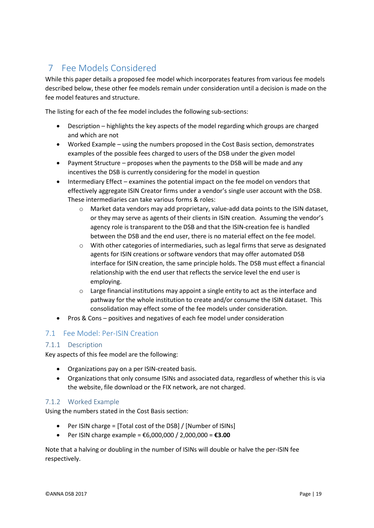## <span id="page-18-0"></span>7 Fee Models Considered

While this paper details a proposed fee model which incorporates features from various fee models described below, these other fee models remain under consideration until a decision is made on the fee model features and structure.

The listing for each of the fee model includes the following sub-sections:

- Description highlights the key aspects of the model regarding which groups are charged and which are not
- Worked Example using the numbers proposed in the Cost Basis section, demonstrates examples of the possible fees charged to users of the DSB under the given model
- Payment Structure proposes when the payments to the DSB will be made and any incentives the DSB is currently considering for the model in question
- Intermediary Effect examines the potential impact on the fee model on vendors that effectively aggregate ISIN Creator firms under a vendor's single user account with the DSB. These intermediaries can take various forms & roles:
	- $\circ$  Market data vendors may add proprietary, value-add data points to the ISIN dataset, or they may serve as agents of their clients in ISIN creation. Assuming the vendor's agency role is transparent to the DSB and that the ISIN-creation fee is handled between the DSB and the end user, there is no material effect on the fee model.
	- o With other categories of intermediaries, such as legal firms that serve as designated agents for ISIN creations or software vendors that may offer automated DSB interface for ISIN creation, the same principle holds. The DSB must effect a financial relationship with the end user that reflects the service level the end user is employing.
	- $\circ$  Large financial institutions may appoint a single entity to act as the interface and pathway for the whole institution to create and/or consume the ISIN dataset. This consolidation may effect some of the fee models under consideration.
- Pros & Cons positives and negatives of each fee model under consideration

#### <span id="page-18-1"></span>7.1 Fee Model: Per-ISIN Creation

#### 7.1.1 Description

Key aspects of this fee model are the following:

- Organizations pay on a per ISIN-created basis.
- Organizations that only consume ISINs and associated data, regardless of whether this is via the website, file download or the FIX network, are not charged.

#### 7.1.2 Worked Example

Using the numbers stated in the Cost Basis section:

- Per ISIN charge = [Total cost of the DSB] / [Number of ISINs]
- Per ISIN charge example = €6,000,000 / 2,000,000 = **€3.00**

Note that a halving or doubling in the number of ISINs will double or halve the per-ISIN fee respectively.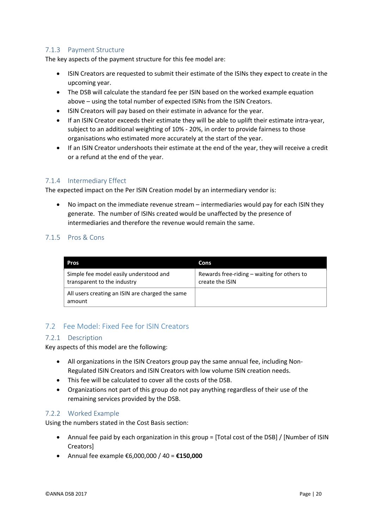#### 7.1.3 Payment Structure

The key aspects of the payment structure for this fee model are:

- ISIN Creators are requested to submit their estimate of the ISINs they expect to create in the upcoming year.
- The DSB will calculate the standard fee per ISIN based on the worked example equation above – using the total number of expected ISINs from the ISIN Creators.
- ISIN Creators will pay based on their estimate in advance for the year.
- If an ISIN Creator exceeds their estimate they will be able to uplift their estimate intra-year, subject to an additional weighting of 10% - 20%, in order to provide fairness to those organisations who estimated more accurately at the start of the year.
- If an ISIN Creator undershoots their estimate at the end of the year, they will receive a credit or a refund at the end of the year.

#### 7.1.4 Intermediary Effect

The expected impact on the Per ISIN Creation model by an intermediary vendor is:

 No impact on the immediate revenue stream – intermediaries would pay for each ISIN they generate. The number of ISINs created would be unaffected by the presence of intermediaries and therefore the revenue would remain the same.

#### 7.1.5 Pros & Cons

| Pros                                                                  | Cons                                                           |
|-----------------------------------------------------------------------|----------------------------------------------------------------|
| Simple fee model easily understood and<br>transparent to the industry | Rewards free-riding – waiting for others to<br>create the ISIN |
| All users creating an ISIN are charged the same<br>amount             |                                                                |

### <span id="page-19-0"></span>7.2 Fee Model: Fixed Fee for ISIN Creators

#### 7.2.1 Description

Key aspects of this model are the following:

- All organizations in the ISIN Creators group pay the same annual fee, including Non-Regulated ISIN Creators and ISIN Creators with low volume ISIN creation needs.
- This fee will be calculated to cover all the costs of the DSB.
- Organizations not part of this group do not pay anything regardless of their use of the remaining services provided by the DSB.

#### 7.2.2 Worked Example

Using the numbers stated in the Cost Basis section:

- Annual fee paid by each organization in this group = [Total cost of the DSB] / [Number of ISIN Creators]
- Annual fee example €6,000,000 / 40 = **€150,000**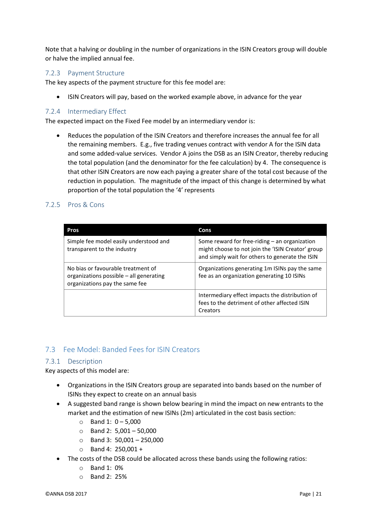Note that a halving or doubling in the number of organizations in the ISIN Creators group will double or halve the implied annual fee.

#### 7.2.3 Payment Structure

The key aspects of the payment structure for this fee model are:

ISIN Creators will pay, based on the worked example above, in advance for the year

#### 7.2.4 Intermediary Effect

The expected impact on the Fixed Fee model by an intermediary vendor is:

 Reduces the population of the ISIN Creators and therefore increases the annual fee for all the remaining members. E.g., five trading venues contract with vendor A for the ISIN data and some added-value services. Vendor A joins the DSB as an ISIN Creator, thereby reducing the total population (and the denominator for the fee calculation) by 4. The consequence is that other ISIN Creators are now each paying a greater share of the total cost because of the reduction in population. The magnitude of the impact of this change is determined by what proportion of the total population the '4' represents

#### 7.2.5 Pros & Cons

| Pros                                                                                                            | Cons                                                                                                                                                  |
|-----------------------------------------------------------------------------------------------------------------|-------------------------------------------------------------------------------------------------------------------------------------------------------|
| Simple fee model easily understood and<br>transparent to the industry                                           | Some reward for free-riding – an organization<br>might choose to not join the 'ISIN Creator' group<br>and simply wait for others to generate the ISIN |
| No bias or favourable treatment of<br>organizations possible – all generating<br>organizations pay the same fee | Organizations generating 1m ISINs pay the same<br>fee as an organization generating 10 ISINs                                                          |
|                                                                                                                 | Intermediary effect impacts the distribution of<br>fees to the detriment of other affected ISIN<br>Creators                                           |

#### <span id="page-20-0"></span>7.3 Fee Model: Banded Fees for ISIN Creators

#### 7.3.1 Description

Key aspects of this model are:

- Organizations in the ISIN Creators group are separated into bands based on the number of ISINs they expect to create on an annual basis
- A suggested band range is shown below bearing in mind the impact on new entrants to the market and the estimation of new ISINs (2m) articulated in the cost basis section:
	- $\circ$  Band 1: 0 5,000
	- $\circ$  Band 2: 5,001 50,000
	- $\circ$  Band 3: 50,001 250,000
	- $\circ$  Band 4: 250,001 +
- The costs of the DSB could be allocated across these bands using the following ratios:
	- o Band 1: 0%
	- o Band 2: 25%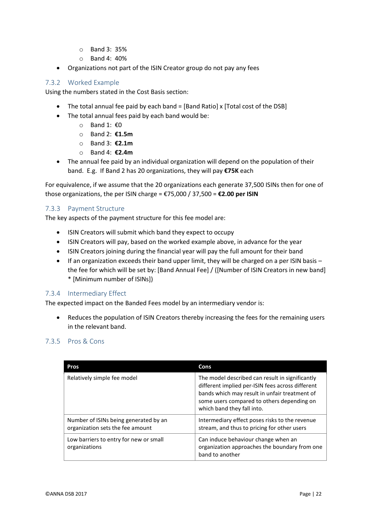- o Band 3: 35%
- o Band 4: 40%
- Organizations not part of the ISIN Creator group do not pay any fees

#### 7.3.2 Worked Example

Using the numbers stated in the Cost Basis section:

- The total annual fee paid by each band = [Band Ratio] x [Total cost of the DSB]
- The total annual fees paid by each band would be:
	- o Band 1: €0
	- o Band 2: **€1.5m**
	- o Band 3: **€2.1m**
	- o Band 4: **€2.4m**
- The annual fee paid by an individual organization will depend on the population of their band. E.g. If Band 2 has 20 organizations, they will pay **€75K** each

For equivalence, if we assume that the 20 organizations each generate 37,500 ISINs then for one of those organizations, the per ISIN charge = €75,000 / 37,500 = **€2.00 per ISIN**

#### 7.3.3 Payment Structure

The key aspects of the payment structure for this fee model are:

- ISIN Creators will submit which band they expect to occupy
- ISIN Creators will pay, based on the worked example above, in advance for the year
- ISIN Creators joining during the financial year will pay the full amount for their band
- If an organization exceeds their band upper limit, they will be charged on a per ISIN basis the fee for which will be set by: [Band Annual Fee] / ([Number of ISIN Creators in new band] \* [Minimum number of ISINs])

#### 7.3.4 Intermediary Effect

The expected impact on the Banded Fees model by an intermediary vendor is:

 Reduces the population of ISIN Creators thereby increasing the fees for the remaining users in the relevant band.

#### 7.3.5 Pros & Cons

| <b>Pros</b>                                                               | Cons                                                                                                                                                                                                                             |
|---------------------------------------------------------------------------|----------------------------------------------------------------------------------------------------------------------------------------------------------------------------------------------------------------------------------|
| Relatively simple fee model                                               | The model described can result in significantly<br>different implied per-ISIN fees across different<br>bands which may result in unfair treatment of<br>some users compared to others depending on<br>which band they fall into. |
| Number of ISINs being generated by an<br>organization sets the fee amount | Intermediary effect poses risks to the revenue<br>stream, and thus to pricing for other users                                                                                                                                    |
| Low barriers to entry for new or small<br>organizations                   | Can induce behaviour change when an<br>organization approaches the boundary from one<br>band to another                                                                                                                          |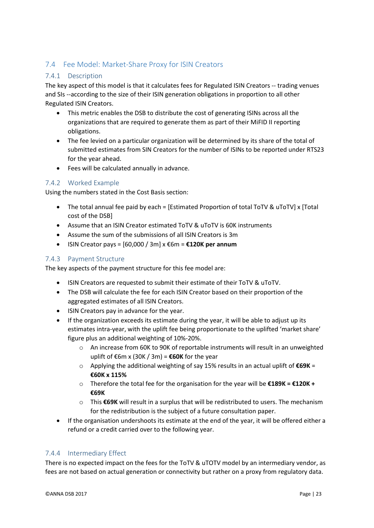## <span id="page-22-0"></span>7.4 Fee Model: Market-Share Proxy for ISIN Creators

#### 7.4.1 Description

The key aspect of this model is that it calculates fees for Regulated ISIN Creators -- trading venues and SIs --according to the size of their ISIN generation obligations in proportion to all other Regulated ISIN Creators.

- This metric enables the DSB to distribute the cost of generating ISINs across all the organizations that are required to generate them as part of their MiFID II reporting obligations.
- The fee levied on a particular organization will be determined by its share of the total of submitted estimates from SIN Creators for the number of ISINs to be reported under RTS23 for the year ahead.
- Fees will be calculated annually in advance.

### 7.4.2 Worked Example

Using the numbers stated in the Cost Basis section:

- The total annual fee paid by each = [Estimated Proportion of total ToTV & uToTV] x [Total cost of the DSB]
- Assume that an ISIN Creator estimated ToTV & uToTV is 60K instruments
- Assume the sum of the submissions of all ISIN Creators is 3m
- ISIN Creator pays = [60,000 / 3m] x €6m = **€120K per annum**

#### 7.4.3 Payment Structure

The key aspects of the payment structure for this fee model are:

- ISIN Creators are requested to submit their estimate of their ToTV & uToTV.
- The DSB will calculate the fee for each ISIN Creator based on their proportion of the aggregated estimates of all ISIN Creators.
- ISIN Creators pay in advance for the year.
- If the organization exceeds its estimate during the year, it will be able to adjust up its estimates intra-year, with the uplift fee being proportionate to the uplifted 'market share' figure plus an additional weighting of 10%-20%.
	- o An increase from 60K to 90K of reportable instruments will result in an unweighted uplift of €6m x (30K / 3m) = **€60K** for the year
	- o Applying the additional weighting of say 15% results in an actual uplift of **€69K** = **€60K x 115%**
	- o Therefore the total fee for the organisation for the year will be **€189K = €120K + €69K**
	- o This **€69K** will result in a surplus that will be redistributed to users. The mechanism for the redistribution is the subject of a future consultation paper.
- If the organisation undershoots its estimate at the end of the year, it will be offered either a refund or a credit carried over to the following year.

#### 7.4.4 Intermediary Effect

There is no expected impact on the fees for the ToTV & uTOTV model by an intermediary vendor, as fees are not based on actual generation or connectivity but rather on a proxy from regulatory data.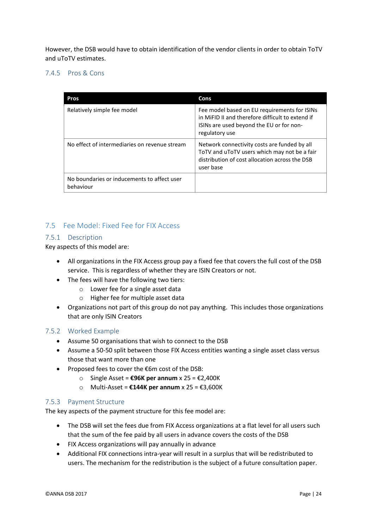However, the DSB would have to obtain identification of the vendor clients in order to obtain ToTV and uToTV estimates.

#### 7.4.5 Pros & Cons

| Pros                                                     | Cons                                                                                                                                                           |
|----------------------------------------------------------|----------------------------------------------------------------------------------------------------------------------------------------------------------------|
| Relatively simple fee model                              | Fee model based on EU requirements for ISINs<br>in MiFID II and therefore difficult to extend if<br>ISINs are used beyond the EU or for non-<br>regulatory use |
| No effect of intermediaries on revenue stream            | Network connectivity costs are funded by all<br>ToTV and uToTV users which may not be a fair<br>distribution of cost allocation across the DSB<br>user base    |
| No boundaries or inducements to affect user<br>behaviour |                                                                                                                                                                |

#### <span id="page-23-0"></span>7.5 Fee Model: Fixed Fee for FIX Access

#### 7.5.1 Description

Key aspects of this model are:

- All organizations in the FIX Access group pay a fixed fee that covers the full cost of the DSB service. This is regardless of whether they are ISIN Creators or not.
- The fees will have the following two tiers:
	- o Lower fee for a single asset data
	- o Higher fee for multiple asset data
- Organizations not part of this group do not pay anything. This includes those organizations that are only ISIN Creators

#### 7.5.2 Worked Example

- Assume 50 organisations that wish to connect to the DSB
- Assume a 50-50 split between those FIX Access entities wanting a single asset class versus those that want more than one
- Proposed fees to cover the €6m cost of the DSB:
	- o Single Asset = **€96K per annum** x 25 = €2,400K
	- o Multi-Asset = **€144K per annum** x 25 = €3,600K

#### 7.5.3 Payment Structure

The key aspects of the payment structure for this fee model are:

- The DSB will set the fees due from FIX Access organizations at a flat level for all users such that the sum of the fee paid by all users in advance covers the costs of the DSB
- FIX Access organizations will pay annually in advance
- Additional FIX connections intra-year will result in a surplus that will be redistributed to users. The mechanism for the redistribution is the subject of a future consultation paper.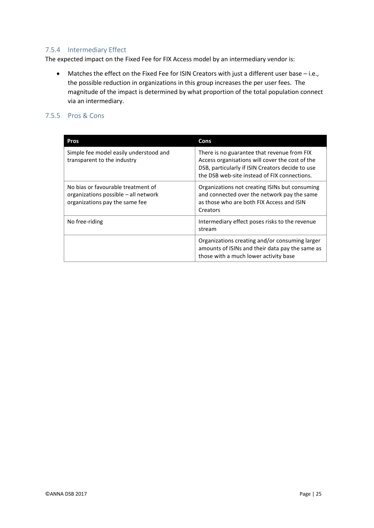#### 7.5.4 Intermediary Effect

The expected impact on the Fixed Fee for FIX Access model by an intermediary vendor is:

 Matches the effect on the Fixed Fee for ISIN Creators with just a different user base – i.e., the possible reduction in organizations in this group increases the per user fees. The magnitude of the impact is determined by what proportion of the total population connect via an intermediary.

#### 7.5.5 Pros & Cons

| <b>Pros</b>                                                                                                  | Cons                                                                                                                                                                                               |
|--------------------------------------------------------------------------------------------------------------|----------------------------------------------------------------------------------------------------------------------------------------------------------------------------------------------------|
| Simple fee model easily understood and<br>transparent to the industry                                        | There is no guarantee that revenue from FIX<br>Access organisations will cover the cost of the<br>DSB, particularly if ISIN Creators decide to use<br>the DSB web-site instead of FIX connections. |
| No bias or favourable treatment of<br>organizations possible – all network<br>organizations pay the same fee | Organizations not creating ISINs but consuming<br>and connected over the network pay the same<br>as those who are both FIX Access and ISIN<br>Creators                                             |
| No free-riding                                                                                               | Intermediary effect poses risks to the revenue<br>stream                                                                                                                                           |
|                                                                                                              | Organizations creating and/or consuming larger<br>amounts of ISINs and their data pay the same as<br>those with a much lower activity base                                                         |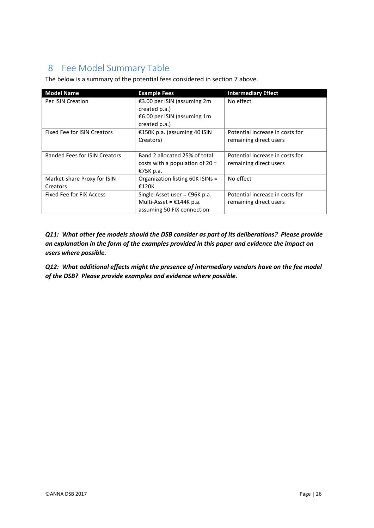## <span id="page-25-0"></span>8 Fee Model Summary Table

The below is a summary of the potential fees considered in section 7 above.

| <b>Model Name</b>                    | <b>Example Fees</b>               | <b>Intermediary Effect</b>      |
|--------------------------------------|-----------------------------------|---------------------------------|
| Per ISIN Creation                    | €3.00 per ISIN (assuming 2m       | No effect                       |
|                                      | created p.a.)                     |                                 |
|                                      | €6.00 per ISIN (assuming 1m       |                                 |
|                                      | created p.a.)                     |                                 |
| Fixed Fee for ISIN Creators          | €150K p.a. (assuming 40 ISIN      | Potential increase in costs for |
|                                      | Creators)                         | remaining direct users          |
|                                      |                                   |                                 |
| <b>Banded Fees for ISIN Creators</b> | Band 2 allocated 25% of total     | Potential increase in costs for |
|                                      | costs with a population of $20 =$ | remaining direct users          |
|                                      | €75K p.a.                         |                                 |
| Market-share Proxy for ISIN          | Organization listing 60K ISINs =  | No effect                       |
| Creators                             | €120K                             |                                 |
| <b>Fixed Fee for FIX Access</b>      | Single-Asset user = €96K p.a.     | Potential increase in costs for |
|                                      | Multi-Asset = $£144K p.a.$        | remaining direct users          |
|                                      | assuming 50 FIX connection        |                                 |

*Q11: What other fee models should the DSB consider as part of its deliberations? Please provide an explanation in the form of the examples provided in this paper and evidence the impact on users where possible.* 

*Q12: What additional effects might the presence of intermediary vendors have on the fee model of the DSB? Please provide examples and evidence where possible.*